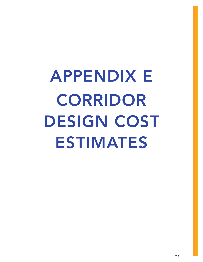APPENDIX E CORRIDOR DESIGN COST ESTIMATES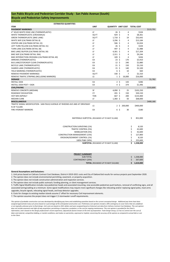## **Bicycle and Pedestrian Safety Improvements San Pablo Bicycle and Pedestrian Corridor Study ‐ San Pablo Avenue (South)**

| <b>ESTIMATED QUANTITIES</b>                                                  |                                              |                  |                       |                               |           |  |
|------------------------------------------------------------------------------|----------------------------------------------|------------------|-----------------------|-------------------------------|-----------|--|
| <b>ITEM</b>                                                                  | <b>UNIT</b>                                  |                  |                       | QUANTITY UNIT COST TOTAL COST |           |  |
| <b>PAVEMENT MARKINGS</b>                                                     |                                              |                  |                       |                               | \$115,701 |  |
| 4" SOLID WHITE EDGE LINE (THERMOPLASTIC)                                     | LF                                           | $26 \;$ \$       | 4                     | \$104                         |           |  |
| WHITE THERMOPLASTIC (CROSSWALK)                                              | SQ FT                                        | 929 \$           | 9                     | \$8,361                       |           |  |
| <b>GREEN THERMOPLASTIC (BIKE LANE)</b>                                       | SQ FT                                        | $1,718$ \$       | 19                    | \$32,642                      |           |  |
| WHITE SKIP (CALTRANS DETAIL 8)                                               | LF                                           | $3,296$ \$       | 4                     | \$13,184                      |           |  |
| <b>CENTER LINE (CALTRANS DETAIL 22)</b>                                      | LF                                           | $506$ \$         | 4                     | \$2,024                       |           |  |
| LEFT TURN YELLOW (CALTRANS DETAIL 31)                                        | LF                                           | $26 \;$ \$       | 4                     | \$104                         |           |  |
| TURN LANE (CALTRANS DETAIL 38)                                               | LF                                           | 497 \$           | 4                     | \$1,988                       |           |  |
| BIKE LANE/ BUFFER (CALTRANS DETAIL 39)                                       | LF                                           | $4,301$ \$       | 4                     | \$17,204                      |           |  |
| BIKE SKIP (CALTRANS DETAIL 39A)                                              | LF                                           | $2,311$ \$       | 4                     | \$9,244                       |           |  |
| BIKE INTERSECTION CROSSING (CALTRANS DETAIL 40)                              | LF                                           | 109 <sup>5</sup> | 4                     | \$436                         |           |  |
| ARROWS (THERMOPLASTIC)                                                       | EA                                           | $23 \;$ \$       | 170                   | \$3,910                       |           |  |
| BUS LANE/STOP/KEEP CLEAR (THERMOPLASTIC)                                     | EA                                           | $12 \; \text{S}$ | 240                   | \$2,880                       |           |  |
| BICYCLE LANE (THERMOPLASTIC)                                                 | EA                                           | $21 \;$ \$       | 150                   | \$3,150                       |           |  |
| SHARED LANE (THERMOPLASTIC)                                                  | EA                                           | $15 \; \xi$      | 140                   | \$2,100                       |           |  |
| YIELD MARKING (THERMOPLASTIC)                                                | EA                                           |                  | $6\frac{1}{2}$<br>10  | \$60                          |           |  |
| REMOVE PAVEMENT MARKINGS                                                     | SQ <sub>FT</sub>                             | 330 \$           | 7                     | \$2,310                       |           |  |
| REMOVE TRAFFIC STRIPING (INCLUDING MARKERS)                                  | LS                                           |                  | $1\sqrt{5}$<br>16,000 | \$16,000                      |           |  |
| <b>SIGNAGE</b>                                                               |                                              |                  |                       |                               | \$1,782   |  |
| <b>INSTALL SIGN</b>                                                          | EA                                           |                  | $2 \;$ \$<br>143      | \$286                         |           |  |
| <b>INSTALL SIGN POST + SIGN</b>                                              | EA                                           |                  | 4 \$<br>374           | \$1,496                       |           |  |
| <b>CIVIL/PAVING</b>                                                          |                                              |                  |                       |                               | \$333,800 |  |
| REMOVE CONCRETE (MEDIAN)                                                     | SF                                           | 4,090 \$         | 25                    | \$102,250                     |           |  |
| ROADWAY EXCAVATION                                                           | <b>CY</b>                                    | $201$ \$         | 150                   | \$30,150                      |           |  |
| <b>HOT MIX ASPHALT</b>                                                       | <b>TON</b>                                   | 667 \$           | 200                   | \$133,400                     |           |  |
| <b>MEDIAN CURB</b>                                                           | LF                                           | $1,360$ \$       | 50                    | \$68,000                      |           |  |
| <b>MISCELLANEOUS</b>                                                         |                                              |                  |                       |                               | \$400,180 |  |
| TRAFFIC SIGNAL MODIFICATION - SAN PAVLO AVENUE AT RHEEMS AVE AND AT DRIVEWAY |                                              |                  |                       |                               |           |  |
| N OF TULARE                                                                  | LS                                           |                  | $2 \;$ \$<br>200,000  | \$400,000                     |           |  |
| FIRE HYDRANT MARKERS                                                         | EA                                           |                  | $6\;$ \$<br>30        | \$180                         |           |  |
| MATERIALS SUBTOTAL (ROUNDED UP TO NEXT \$1,000)                              |                                              |                  |                       | \$.<br>852,000                |           |  |
|                                                                              |                                              |                  |                       |                               |           |  |
| <b>CONSTRUCTION SURVEYING (1%)</b>                                           |                                              |                  |                       | \$<br>8,520                   |           |  |
| <b>TRAFFIC CONTROL (5%)</b>                                                  |                                              |                  |                       | \$<br>42,600                  |           |  |
| <b>MOBILIZATION (5%)</b>                                                     |                                              |                  |                       | 42,600                        |           |  |
| <b>CONSTRUCTION MANAGEMENT (15%)</b>                                         |                                              |                  |                       | \$<br>127,800                 |           |  |
| EROSION/SEDIMENT CONTROL (1%)                                                |                                              |                  |                       | 8,520                         |           |  |
| 100% PS&E (30%)                                                              |                                              |                  |                       | 255,600                       |           |  |
|                                                                              | <b>SUBTOTAL</b> (ROUNDED UP TO NEXT \$1,000) |                  |                       | \$<br>1,338,000               |           |  |
|                                                                              |                                              |                  |                       |                               |           |  |

| <b>PROJECT SUMMARY</b>                     |           |
|--------------------------------------------|-----------|
| SUB-TOTAL                                  | 1,338,000 |
| CONTINGENCY (20%)                          | 267,600   |
| <b>TOTAL</b> (ROUNDED UP TO NEXT \$10,000) | 1,610,000 |

### **General Assumptions and Exclusions:**

5. Traffic Signal Modification includes new pedestrian heads and associated mounting, new accessible pedestrian push buttons, removal of conflicting signs, and all associated wiring/cabling at a minimum. Some signal modifications may require more significant changes like relocating and/or replacing signal poles, mast arms upgrades, bicycle signals, relocating signal heads, and loop detector upgrades.

*This opinion of probable construction cost was developed by identifying pay items and establishing quantities based on the current conceptual design. Additional pay items have been*  assigned approximate lump sum prices based on a percentage of the anticipated construction cost. Preliminary cost opinions include a 20% contingency to cover items that are undefined *or are typically unknown prior to final design. Unit costs are based on 2021 dollars and were assigned based on historical cost data from Caltrans Contract Cost Database. This cost opinion*  does not include easement and right-of-way acquisition; permitting or inspection; escalation; or the cost for ongoing maintenance. This cost opinion is provided for the Client's information, and is based on the design professional's recent experience, adjusted for factors known at the time of preparation. Toole Design Group, LLC has no control over the cost of labor and material, competitive bidding, or market conditions; and makes no warranties, expressed or implied, concerning the accuracy of the opinion as compared to actual bids or cost *to the Client.*

### 2/28/2022

1. Unit prices based on Caltrans Contract Cost Database, District 4 2019‐2021 costs and City of Oakland bid results for various projects post September 2020.

4. The opinion does not include public outreach, funding planning, or client management services.

3. The opinion does not include construction administration and inspection services.

2. The opinion does not include environmental permitting, easement, or property acquisition.

### 6. Costs for changes to existing median islands assume 2' offset for necessary Civil improvement elements. 7. The opinion assumes the project does not trigger C.3 stormwater runoff requirements.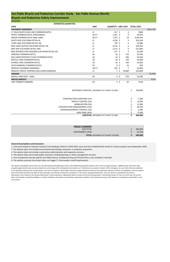| MATERIALS SUBTOTAL (ROUNDED UP TO NEXT \$1,000) |   | 258,000 |
|-------------------------------------------------|---|---------|
|                                                 |   |         |
| <b>CONSTRUCTION SURVEYING (1%)</b>              |   | 2,580   |
| <b>TRAFFIC CONTROL (5%)</b>                     | ₽ | 12,900  |
| <b>MOBILIZATION (5%)</b>                        |   | 12,900  |
| <b>CONSTRUCTION MANAGEMENT (15%)</b>            | C | 38,700  |
| EROSION/SEDIMENT CONTROL (1%)                   |   | 2,580   |
| 100% PS&E (30%)                                 |   | 77,400  |
| <b>SUBTOTAL</b> (ROUNDED UP TO NEXT \$1,000)    |   | 406,000 |

| <b>PROJECT SUMMARY</b>                     |         |
|--------------------------------------------|---------|
| SUB-TOTAL                                  | 406,000 |
| CONTINGENCY (20%)                          | 81,200  |
| <b>TOTAL</b> (ROUNDED UP TO NEXT \$10,000) | 490,000 |

#### **General Assumptions and Exclusions:**

## **Bicycle and Pedestrian Safety Improvements San Pablo Bicycle and Pedestrian Corridor Study ‐ San Pablo Avenue (North)**

|                                                 | <b>ESTIMATED QUANTITIES</b> |             |                           |                   |                   |           |
|-------------------------------------------------|-----------------------------|-------------|---------------------------|-------------------|-------------------|-----------|
| <b>ITEM</b>                                     |                             | <b>UNIT</b> | <b>QUANTITY UNIT COST</b> |                   | <b>TOTAL COST</b> |           |
| <b>PAVEMENT MARKINGS</b>                        |                             |             |                           |                   |                   | \$255,728 |
| 4" SOLID WHITE EDGE LINE (THERMOPLASTIC)        |                             | LF.         | $217 \;$ \$               |                   | 4<br>\$868        |           |
| WHITE THERMOPLASTIC (CROSSWALK)                 |                             | SQ FT       | $1,051$ \$                |                   | 9<br>\$9,459      |           |
| <b>GREEN THERMOPLASTIC (BIKE LANE)</b>          |                             | SQ FT       | $7,707$ \$                |                   | \$146,433<br>19   |           |
| WHITE SKIP (CALTRANS DETAIL 8)                  |                             | LF          | 4,230 \$                  |                   | \$16,920<br>4     |           |
| TURN LANE (CALTRANS DETAIL 38)                  |                             | LF          | 720 \$                    |                   | \$2,880<br>4      |           |
| BIKE LANE/ BUFFER (CALTRANS DETAIL 39)          |                             | LF          | $6,231$ \$                |                   | \$24,924<br>4     |           |
| BIKE SKIP (CALTRANS DETAIL 39A)                 |                             | LF          | $3,215$ \$                |                   | 4<br>\$12,860     |           |
| BIKE INTERSECTION CROSSING (CALTRANS DETAIL 40) |                             | LF          | $511 \text{ }$            |                   | \$2,044<br>4      |           |
| ARROWS (THERMOPLASTIC)                          |                             | EA          |                           | $26 \;$ \$<br>170 | \$4,420           |           |
| BUS LANE/STOP/KEEP CLEAR (THERMOPLASTIC)        |                             | EA          |                           | $14 \;$ \$<br>240 | \$3,360           |           |
| BICYCLE LANE (THERMOPLASTIC)                    |                             | EA          |                           | 39\$<br>150       | \$5,850           |           |
| SHARED LANE (THERMOPLASTIC)                     |                             | EA          |                           | $20 \;$ \$<br>140 | \$2,800           |           |
| YIELD MARKING (THERMOPLASTIC)                   |                             | EA          |                           | 6\$               | \$60<br>10        |           |
| REMOVE PAVEMENT MARKINGS                        |                             | SQ FT       | 550 \$                    |                   | 7<br>\$3,850      |           |
| REMOVE TRAFFIC STRIPING (INCLUDING MARKERS)     |                             | LS          |                           | 19,000<br>1\$     | \$19,000          |           |
| <b>SIGNAGE</b>                                  |                             |             |                           |                   |                   | \$1,496   |
| <b>INSTALL SIGN POST + SIGN</b>                 |                             | EA          |                           | $4\;$ \$<br>374   | \$1,496           |           |
| <b>MISCELLANEOUS</b>                            |                             |             |                           |                   |                   | \$120     |
| <b>FIRE HYDRANT MARKERS</b>                     |                             | EA          |                           | 4 \$              | \$120<br>30       |           |

1. Unit prices based on Caltrans Contract Cost Database, District 4 2019‐2021 costs and City of Oakland bid results for various projects post September 2020.

2. The opinion does not include environmental permitting, easement, or property acquisition.

3. The opinion does not include construction administration and inspection services.

4. The opinion does not include public outreach, funding planning, or client management services.

6. The opinion assumes the project does not trigger C.3 stormwater runoff requirements.

5. Cost of potential new bus pad for San Pablo Avenue northbound stop at El Portal Drive is not included in estimate.

*This opinion of probable construction cost was developed by identifying pay items and establishing quantities based on the current conceptual design. Additional pay items have been assigned approximate lump sum prices based on a percentage of the anticipated construction cost. Preliminary cost opinions include a 20% contingency to cover items that are undefined or are typically unknown prior to final design. Unit costs are based on 2021 dollars and were assigned based on historical cost data from Caltrans Contract Cost Database. This cost opinion does not include easement and right‐of‐way acquisition; permitting or inspection; escalation; or the cost for ongoing maintenance. This cost opinion is provided for the Client's information, and is based on the design professional's recent experience, adjusted for factors known at the time of preparation. Toole Design Group, LLC has no control over the cost of*  labor and material, competitive bidding, or market conditions; and makes no warranties, expressed or implied, concerning the accuracy of the opinion as compared to actual bids or cost *to the Client.*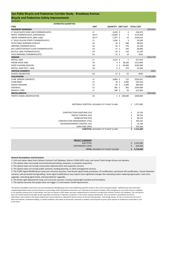## **Bicycle and Pedestrian Safety Improvements**

**TOTAL** *(ROUNDED UP TO NEXT \$10,000)* **\$ 3,730,000**

### **General Assumptions and Exclusions:**

| <b>ESTIMATED QUANTITIES</b>                     |             |                                              |                |         |                               |             |
|-------------------------------------------------|-------------|----------------------------------------------|----------------|---------|-------------------------------|-------------|
| <b>ITEM</b>                                     | <b>UNIT</b> |                                              |                |         | QUANTITY UNIT COST TOTAL COST |             |
| <b>PAVEMENT MARKINGS</b>                        |             |                                              |                |         |                               | \$293,961   |
| 4" SOLID WHITE EDGE LINE (THERMOPLASTIC)        | LF          | 4,618 \$                                     |                | 4       | \$18,472                      |             |
| WHITE THERMOPLASTIC (CROSSWALK)                 | SQ FT       | 14,840 \$                                    |                | 9       | \$133,560                     |             |
| <b>GREEN THERMOPLASTIC (BIKE LANE)</b>          | SQ FT       | 5,507 \$                                     |                | 19      | \$104,633                     |             |
| 4" SOLID YELLOW STRIPE (THERMOPLASTIC)          | LF          | $1,646$ \$                                   |                | 4       | \$6,584                       |             |
| DETECTABLE WARNING SURFACE                      | EA          | $24 \;$ \$                                   |                | 368     | \$8,832                       |             |
| ARROWS (THERMOPLASTIC)                          | EA          | $30 \; \text{S}$                             |                | 170     | \$5,100                       |             |
| BUS LANE/STOP/KEEP CLEAR (THERMOPLASTIC)        | EA          | 37 <sup>5</sup>                              |                | 240     | \$8,880                       |             |
| BICYCLE LANE (THERMOPLASTIC)                    | EA          | 49 \$                                        |                | 150     | \$7,350                       |             |
| YIELD MARKING (THERMOPLASTIC)                   | EA          | 55 \$                                        |                | 10      | \$550                         |             |
| <b>SIGNAGE</b>                                  |             |                                              |                |         |                               | \$413,776   |
| <b>INSTALL SIGN</b>                             | LF          | $3,522$ \$                                   |                | 5       | \$17,610                      |             |
| <b>RADAR SPEED SIGN</b>                         | EA          |                                              | $4\;$ \$       | 38,200  | \$152,800                     |             |
| RAPID FLASHING BEACON                           | EA          |                                              | $6\sqrt{5}$    | 40,000  | \$240,000                     |             |
| <b>INSTALL SIGN POST + SIGN</b>                 | EA          |                                              | $9\frac{2}{3}$ | 374     | \$3,366                       |             |
| <b>VERTICAL ELEMENTS</b>                        |             |                                              |                |         |                               | \$935       |
| PLASTIC DELINEATOR                              | EA          | $17 \;$ \$                                   |                | 55      | \$935                         |             |
| <b>CIVIL/PAVING</b>                             |             |                                              |                |         |                               | \$1,065,666 |
| <b>CURB (MINOR CONCRETE)</b>                    | LF          | $4,866$ \$                                   |                | 122     | \$593,652                     |             |
| <b>CURB RAMP</b>                                | <b>CY</b>   | 18, 5                                        |                | 2,000   | \$35,556                      |             |
| <b>RAISED CROSSING</b>                          | <b>CY</b>   | 40 \$                                        |                | 2,000   | \$80,000                      |             |
| SIDEWALK                                        | <b>CY</b>   | 382 \$                                       |                | 902     | \$344,898                     |             |
| <b>REMOVE CURB</b>                              | LF          | 340 \$                                       |                | 34      | \$11,560                      |             |
| <b>MISCELLANEOUS</b>                            |             |                                              |                |         |                               | \$200,000   |
| TRAFFIC SIGNAL MODIFICATION                     | EA          |                                              | $1\,$ \$       | 200,000 | \$200,000                     |             |
|                                                 |             |                                              |                |         |                               |             |
|                                                 |             |                                              |                |         |                               |             |
| MATERIALS SUBTOTAL (ROUNDED UP TO NEXT \$1,000) |             |                                              |                |         | 1,975,000<br>\$.              |             |
|                                                 |             |                                              |                |         |                               |             |
|                                                 |             |                                              |                |         |                               |             |
| <b>CONSTRUCTION SURVEYING (1%)</b>              |             |                                              |                |         | \$<br>19,750                  |             |
| <b>TRAFFIC CONTROL (5%)</b>                     |             |                                              |                |         | \$<br>98,750                  |             |
| <b>MOBILIZATION (5%)</b>                        |             |                                              |                |         | \$<br>98,750                  |             |
| <b>CONSTRUCTION MANAGEMENT (15%)</b>            |             |                                              |                |         | \$<br>296,250                 |             |
| EROSION/SEDIMENT CONTROL (1%)                   |             |                                              |                |         | 19,750                        |             |
| 100% PS&E (30%)                                 |             |                                              |                |         | 592,500                       |             |
|                                                 |             | <b>SUBTOTAL</b> (ROUNDED UP TO NEXT \$1,000) |                |         | 3,101,000<br>\$               |             |
|                                                 |             |                                              |                |         |                               |             |
|                                                 |             |                                              |                |         |                               |             |
|                                                 |             |                                              |                |         |                               |             |
| <b>PROJECT SUMMARY</b>                          |             |                                              |                |         |                               |             |
| SUB-TOTAL                                       |             |                                              |                |         | \$<br>3,101,000               |             |
| <b>CONTINGENCY (20%)</b>                        |             |                                              |                |         | 620,200                       |             |

1. Unit cost values taken from Caltrans Contract Cost Database, District 4 2019‐2021 costs, and recent Toole Design Group cost opinions.

2. The opinion does not include environmental permitting, easement, or property acquisition.

3. The opinion does not include construction administration and inspection services.

4. The opinion does not include public outreach, funding planning, or client management services.

6. The Street Light Adjustments lump sum unit price assumes: moving existing light standard and foundation

7. The opinion assumes the project does not trigger C.3 stormwater runoff requirements.

*This opinion of probable construction cost was developed by identifying pay items and establishing quantities based on the current conceptual design. Additional pay items have been*  assigned approximate lump sum prices based on a percentage of the anticipated construction cost. Preliminary cost opinions include a 20% contingency to cover items that are undefined *or are typically unknown prior to final design. Unit costs are based on 2021 dollars and were assigned based on historical cost data from Caltrans Contract Cost Database. This cost opinion does not include easement and right‐of‐way acquisition; permitting or inspection; escalation; or the cost for ongoing maintenance. This cost opinion is provided for the Client's information, and is based on the design professional's recent experience, adjusted for factors known at the time of preparation. Toole Design Group, LLC has no control over the cost of labor and material, competitive bidding, or market conditions; and makes no warranties, expressed or implied, concerning the accuracy of the opinion as compared to actual bids or cost to the Client.*

# **San Pablo Bicycle and Pedestrian Corridor Study ‐ Broadway Avenue**

2/28/2022

5. The Traffic Signal Modifications lump sum unit price assumes: new bicycle signal heads and phase, LPI modification, permissive left modification, bicycle detection cameras, and associated wiring/cabling. Some signal modifications may require more significant changes like relocating and/or replacing signal poles, mast arms upgrades, relocating signal heads, and loop detector upgrades.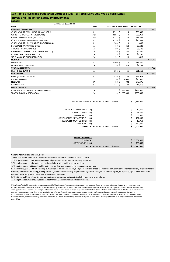| MATERIALS SUBTOTAL (ROUNDED UP TO NEXT \$1,000) | 1,276,000 |
|-------------------------------------------------|-----------|
|                                                 |           |
| <b>CONSTRUCTION SURVEYING (1%)</b>              | 12,760    |
| TRAFFIC CONTROL (5%)                            | 63,800    |
| <b>MOBILIZATION (5%)</b>                        | 63,800    |
| <b>CONSTRUCTION MANAGEMENT (15%)</b>            | 191,400   |
| EROSION/SEDIMENT CONTROL (1%)                   | 12,760    |
| 100% PS&E (30%)                                 | 382,800   |
| <b>SUBTOTAL</b> (ROUNDED UP TO NEXT \$1,000)    | 2,004,000 |
|                                                 |           |

| <b>PROJECT SUMMARY</b>                     |           |
|--------------------------------------------|-----------|
| SUB-TOTAL                                  | 2,004,000 |
| CONTINGENCY (20%)                          | 400,800   |
| <b>TOTAL</b> (ROUNDED UP TO NEXT \$10,000) | 2,410,000 |
|                                            |           |

### **Bicycle and Pedestrian Safety Improvements San Pablo Bicycle and Pedestrian Corridor Study ‐ El Portal Drive One‐Way Bicycle Lanes**  2/28/2022

| <b>ESTIMATED QUANTITIES</b>                  |             |                           |                 |         |                   |           |
|----------------------------------------------|-------------|---------------------------|-----------------|---------|-------------------|-----------|
| <b>ITEM</b>                                  | <b>UNIT</b> | <b>QUANTITY UNIT COST</b> |                 |         | <b>TOTAL COST</b> |           |
| <b>PAVEMENT MARKINGS</b>                     |             |                           |                 |         |                   | \$232,801 |
| 4" SOLID WHITE EDGE LINE (THERMOPLASTIC)     | LF          | $16,712$ \$               |                 | 4       | \$66,848          |           |
| WHITE THERMOPLASTIC (CROSSWALK)              | SQ FT       | $3,996$ \$                |                 | 9       | \$35,964          |           |
| <b>GREEN THERMOPLASTIC (BIKE LANE)</b>       | SQ FT       | 4,275 \$                  |                 | 19      | \$81,225          |           |
| 4" SOLID YELLOW STRIPE (THERMOPLASTIC)       | LF          | $6,716$ \$                |                 | 4       | \$26,864          |           |
| 4" SOLID WHITE LINE (PAINT) (CURB EXTENSION) | LF          | 300 <sub>5</sub>          |                 | 3       | \$900             |           |
| DETECTABLE WARNING SURFACE                   | EA          |                           | $10 \;$ \$      | 368     | \$3,680           |           |
| ARROWS (THERMOPLASTIC)                       | EA          |                           | 50 <sup>5</sup> | 170     | \$8,500           |           |
| BUS LANE/STOP/KEEP CLEAR (THERMOPLASTIC)     | EA          | 19                        | \$              | 240     | \$4,560           |           |
| BICYCLE LANE (THERMOPLASTIC)                 | EA          |                           | $25 \;$ \$      | 150     | \$3,750           |           |
| YIELD MARKING (THERMOPLASTIC)                | EA          |                           | $51 \;$ \$      | 10      | \$510             |           |
| <b>SIGNAGE</b>                               |             |                           |                 |         |                   | \$18,744  |
| <b>INSTALL SIGN</b>                          | LF          | $3,300$ \$                |                 | 5       | \$16,500          |           |
| <b>INSTALL SIGN POST + SIGN</b>              | EA          |                           | $6\;$ \$        | 374     | \$2,244           |           |
| <b>VERTICAL ELEMENTS</b>                     |             |                           |                 |         |                   | \$21,560  |
| <b>PLASTIC DELINEATOR</b>                    | EA          | $392 \text{ }$            |                 | 55      | \$21,560          |           |
| <b>CIVIL/PAVING</b>                          |             |                           |                 |         |                   | \$213,844 |
| CURB (MINOR CONCRETE)                        | LF          | 819 \$                    |                 | 122     | \$99,918          |           |
| <b>RAISED CROSSING</b>                       | <b>CY</b>   |                           | 10 <sup>5</sup> | 2,000   | \$20,000          |           |
| <b>SIDEWALK</b>                              | <b>CY</b>   |                           | 88 \$           | 902     | \$79,476          |           |
| <b>REMOVE CURB</b>                           | LF          | 425 \$                    |                 | 34      | \$14,450          |           |
| <b>MISCELLANEOUS</b>                         |             |                           |                 |         |                   | \$788,500 |
| RELOCATION OF LIGHTING AND FOUNDATIONS       | EA          |                           | $1\,$ \$        | 188,500 | \$188,500         |           |
| <b>TRAFFIC SIGNAL MODIFICATION</b>           | EA          |                           | $3\,$ \$        | 200,000 | \$600,000         |           |
|                                              |             |                           |                 |         |                   |           |

#### **General Assumptions and Exclusions:**

1. Unit cost values taken from Caltrans Contract Cost Database, District 4 2019‐2021 costs.

2. The opinion does not include environmental permitting, easement, or property acquisition.

3. The opinion does not include construction administration and inspection services.

4. The opinion does not include public outreach, funding planning, or client management services.

6. The Street Light Adjustments lump sum unit price assumes: moving existing light standard and foundation

7. The opinion assumes the project does not trigger C.3 stormwater runoff requirements.

*This opinion of probable construction cost was developed by identifying pay items and establishing quantities based on the current conceptual design. Additional pay items have been*  assigned approximate lump sum prices based on a percentage of the anticipated construction cost. Preliminary cost opinions include a 20% contingency to cover items that are undefined *or are typically unknown prior to final design. Unit costs are based on 2021 dollars and were assigned based on historical cost data from Caltrans Contract Cost Database. This cost opinion does not include easement and right‐of‐way acquisition; permitting or inspection; escalation; or the cost for ongoing maintenance. This cost opinion is provided for the Client's information, and is based on the design professional's recent experience, adjusted for factors known at the time of preparation. Toole Design Group, LLC has no control over the cost of*  labor and material, competitive bidding, or market conditions; and makes no warranties, expressed or implied, concerning the accuracy of the opinion as compared to actual bids or cost *to the Client.*

5. The Traffic Signal Modifications lump sum unit price assumes: new bicycle signal heads and phase, LPI modification, permissive left modification, bicycle detection cameras, and associated wiring/cabling. Some signal modifications may require more significant changes like relocating and/or replacing signal poles, mast arms upgrades, relocating signal heads, and loop detector upgrades.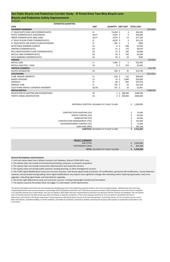This opinion of probable construction cost was developed by identifying pay items and establishing quantities based on the current conceptual design. Additional pay items have been *assigned approximate lump sum prices based on a percentage of the anticipated construction cost. Preliminary cost opinions include a 20% contingency to cover items that are undefined or are typically unknown prior to final design. Unit costs are based on 2021 dollars and were assigned based on historical cost data from Caltrans Contract Cost Database. This cost opinion does not include easement and right‐of‐way acquisition; permitting or inspection; escalation; or the cost for ongoing maintenance. This cost opinion is provided for the Client's information, and is based on the design professional's recent experience, adjusted for factors known at the time of preparation. Toole Design Group, LLC has no control over the cost of*  labor and material, competitive bidding, or market conditions; and makes no warranties, expressed or implied, concerning the accuracy of the opinion as compared to actual bids or cost *to the Client.*

# **Bicycle and Pedestrian Safety Improvements San Pablo Bicycle and Pedestrian Corridor Study ‐ El Portal Drive Two‐Way Bicycle Lane**

| <b>ESTIMATED QUANTITIES</b>                  |             |                                                 |                        |                               |           |
|----------------------------------------------|-------------|-------------------------------------------------|------------------------|-------------------------------|-----------|
| <b>ITEM</b>                                  | <b>UNIT</b> |                                                 |                        | QUANTITY UNIT COST TOTAL COST |           |
| <b>PAVEMENT MARKINGS</b>                     |             |                                                 |                        |                               | \$233,864 |
| 4" SOLID WHITE EDGE LINE (THERMOPLASTIC)     | LF          | $15,658$ \$                                     | 4                      | \$62,632                      |           |
| WHITE THERMOPLASTIC (CROSSWALK)              | SQ FT       | $4,454$ \$                                      | 9                      | \$40,086                      |           |
| <b>GREEN THERMOPLASTIC (BIKE LANE)</b>       | SQ FT       | 4,070 \$                                        | 19                     | \$77,330                      |           |
| 4" SOLID YELLOW STRIPE (THERMOPLASTIC)       | LF          | $8,033$ \$                                      | 4                      | \$32,132                      |           |
| 4" SOLID WHITE LINE (PAINT) (CURB EXTENSION) | LF          | 300 \$                                          | 3                      | \$900                         |           |
| DETECTABLE WARNING SURFACE                   | EA          | $8\frac{2}{3}$                                  | 368                    | \$2,944                       |           |
| ARROWS (THERMOPLASTIC)                       | EA          | $51 \;$ \$                                      | 170                    | \$8,670                       |           |
| BUS LANE/STOP/KEEP CLEAR (THERMOPLASTIC)     | EA          | $17 \;$ \$                                      | 240                    | \$4,080                       |           |
| BICYCLE LANE (THERMOPLASTIC)                 | EA          | $30 \; \zeta$                                   | 150                    | \$4,500                       |           |
| YIELD MARKING (THERMOPLASTIC)                | EA          | $59 \;$ \$                                      | 10                     | \$590                         |           |
| <b>SIGNAGE</b>                               |             |                                                 |                        |                               | \$19,492  |
| <b>INSTALL SIGN</b>                          | LF          | $3,300$ \$                                      | 5                      | \$16,500                      |           |
| <b>INSTALL SIGN POST + SIGN</b>              | EA          | $8\,$ \$                                        | 374                    | \$2,992                       |           |
| <b>VERTICAL ELEMENTS</b>                     |             |                                                 |                        |                               | \$13,750  |
| PLASTIC DELINEATOR                           | EA          | $250$ \$                                        | 55                     | \$13,750                      |           |
| <b>CIVIL/PAVING</b>                          |             |                                                 |                        |                               | \$227,561 |
| <b>CURB (MINOR CONCRETE)</b>                 | LF          | $819$ \$                                        | 122                    | \$99,918                      |           |
| <b>RAISED CROSSING</b>                       | <b>CY</b>   | $10 \; \text{S}$                                | 2,000                  | \$20,000                      |           |
| SIDEWALK                                     | <b>CY</b>   | 88 \$                                           | 902                    | \$79,476                      |           |
| <b>REMOVE CURB</b>                           | LF          | 750 \$                                          | 34                     | \$25,500                      |           |
| COLD PLANE ASPHALT CONCRETE PAVEMENT         | SQ YD       | $167$ \$                                        | 16                     | \$2,667                       |           |
| <b>MISCELLANEOUS</b>                         |             |                                                 |                        |                               | \$788,500 |
| RELOCATION OF LIGHTING AND FOUNDATIONS       | EA          | $1\;$ \$                                        | 188,500                | \$188,500                     |           |
| <b>TRAFFIC SIGNAL MODIFICATION</b>           | EA          |                                                 | $3\sqrt{5}$<br>200,000 | \$600,000                     |           |
|                                              |             |                                                 |                        |                               |           |
|                                              |             |                                                 |                        |                               |           |
|                                              |             | MATERIALS SUBTOTAL (ROUNDED UP TO NEXT \$1,000) |                        | 1,284,000<br>S.               |           |
|                                              |             |                                                 |                        |                               |           |
|                                              |             |                                                 |                        |                               |           |
| <b>CONSTRUCTION SURVEYING (1%)</b>           |             |                                                 |                        | \$<br>12,840                  |           |
| <b>TRAFFIC CONTROL (5%)</b>                  |             |                                                 |                        | \$<br>64,200                  |           |
| <b>MOBILIZATION (5%)</b>                     |             |                                                 |                        | \$<br>64,200                  |           |
| <b>CONSTRUCTION MANAGEMENT (15%)</b>         |             |                                                 |                        | \$<br>192,600                 |           |
| EROSION/SEDIMENT CONTROL (1%)                |             |                                                 |                        | 12,840                        |           |
| 100% PS&E (30%)                              |             |                                                 |                        | 385,200                       |           |
|                                              |             | <b>SUBTOTAL</b> (ROUNDED UP TO NEXT \$1,000)    |                        | 2,016,000<br>Ŝ                |           |
|                                              |             |                                                 |                        |                               |           |
|                                              |             |                                                 |                        |                               |           |
|                                              |             |                                                 |                        |                               |           |
| <b>PROJECT SUMMARY</b>                       |             |                                                 |                        |                               |           |
|                                              | SUB-TOTAL   |                                                 |                        | 2,016,000<br>\$               |           |
| <b>CONTINGENCY (20%)</b>                     |             |                                                 |                        | 403,200                       |           |
|                                              |             | TOTAL (ROUNDED UP TO NEXT \$10,000)             |                        | 2,420,000                     |           |
|                                              |             |                                                 |                        |                               |           |

### **General Assumptions and Exclusions:**

1. Unit cost values taken from Caltrans Contract Cost Database, District 4 2019‐2021 costs.

2. The opinion does not include environmental permitting, easement, or property acquisition.

3. The opinion does not include construction administration and inspection services.

4. The opinion does not include public outreach, funding planning, or client management services.

6. The Street Light Adjustments lump sum unit price assumes: moving existing light standard and foundation

7. The opinion assumes the project does not trigger C.3 stormwater runoff requirements.

5. The Traffic Signal Modifications lump sum unit price assumes: new bicycle signal heads and phase, LPI modification, permissive left modification, bicycle detection cameras, and associated wiring/cabling. Some signal modifications may require more significant changes like relocating and/or replacing signal poles, mast arms upgrades, relocating signal heads, and loop detector upgrades.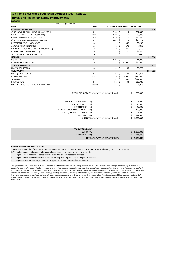| <b>SUBTOTAL</b> (ROUNDED UP TO NEXT \$1,000) | 1,266,000 |
|----------------------------------------------|-----------|
| 100% PS&E (30%)                              | 241.800   |
| EROSION/SEDIMENT CONTROL (1%)                | 8.060     |
| <b>CONSTRUCTION MANAGEMENT (15%)</b>         | 120,900   |
| <b>MOBILIZATION (5%)</b>                     | 40.300    |
| <b>TRAFFIC CONTROL (5%)</b>                  | 40,300    |
| CONSTRUCTION SURVEYING (1%)                  | 8,060     |

| <b>PROJECT SUMMARY</b>                     |           |
|--------------------------------------------|-----------|
| SUB-TOTAL                                  | 1,266,000 |
| CONTINGENCY (20%)                          | 253,200   |
| <b>TOTAL</b> (ROUNDED UP TO NEXT \$10,000) | 1,520,000 |

# **Bicycle and Pedestrian Safety Improvements San Pablo Bicycle and Pedestrian Corridor Study ‐ Road 20**

### **General Assumptions and Exclusions:**

|                                                 | <b>ESTIMATED QUANTITIES</b>        |             |            |                |        |                                      |           |
|-------------------------------------------------|------------------------------------|-------------|------------|----------------|--------|--------------------------------------|-----------|
| <b>ITEM</b>                                     |                                    | <b>UNIT</b> |            |                |        | <b>QUANTITY UNIT COST TOTAL COST</b> |           |
| <b>PAVEMENT MARKINGS</b>                        |                                    |             |            |                |        |                                      | \$144,126 |
| 4" SOLID WHITE EDGE LINE (THERMOPLASTIC)        |                                    | LF          | $7,964$ \$ |                | 4      | \$31,856                             |           |
| WHITE THERMOPLASTIC (CROSSWALK)                 |                                    | SQ FT       | 3,360 \$   |                | 9      | \$30,240                             |           |
| <b>GREEN THERMOPLASTIC (BIKE LANE)</b>          |                                    | SQ FT       | $2,340$ \$ |                | 19     | \$44,460                             |           |
| 4" SOLID YELLOW STRIPE (THERMOPLASTIC)          |                                    | LF.         | $6,043$ \$ |                | 4      | \$24,172                             |           |
| DETECTABLE WARNING SURFACE                      |                                    | EA          |            | $6\sqrt{5}$    | 368    | \$2,208                              |           |
| ARROWS (THERMOPLASTIC)                          |                                    | EA          |            | $5\sqrt{5}$    | 170    | \$850                                |           |
| BUS LANE/STOP/KEEP CLEAR (THERMOPLASTIC)        |                                    | EA          |            | $9\frac{2}{3}$ | 240    | \$2,160                              |           |
| BICYCLE LANE (THERMOPLASTIC)                    |                                    | EA          |            | $51 \;$ \$     | 150    | \$7,650                              |           |
| YIELD MARKING (THERMOPLASTIC)                   |                                    | EA          |            | $53 \;$ \$     | 10     | \$530                                |           |
| <b>SIGNAGE</b>                                  |                                    |             |            |                |        |                                      | \$51,030  |
| <b>INSTALL SIGN</b>                             |                                    | LF          | $2,206$ \$ |                | 5      | \$11,030                             |           |
| RAPID FLASHING BEACON                           |                                    | EA          |            | $1\;$ \$       | 40,000 | \$40,000                             |           |
| <b>VERTICAL ELEMENTS</b>                        |                                    |             |            |                |        |                                      | \$5,775   |
| <b>PLASTIC DELINEATOR</b>                       |                                    | EA          | $105$ \$   |                | 55     | \$5,775                              |           |
| <b>CIVIL/PAVING</b>                             |                                    |             |            |                |        |                                      | \$604,323 |
| <b>CURB (MINOR CONCRETE)</b>                    |                                    | LF          | $1,387$ \$ |                | 122    | \$169,214                            |           |
| <b>RAISED CROSSING</b>                          |                                    | <b>CY</b>   |            | 80, 5          | 2,000  | \$160,000                            |           |
| SIDEWALK                                        |                                    | <b>CY</b>   | $267$ \$   |                | 902    | \$241,068                            |           |
| <b>REMOVE CURB</b>                              |                                    | LF          | 882 \$     |                | 34     | \$29,988                             |           |
| COLD PLANE ASPHALT CONCRETE PAVEMENT            |                                    | SQ YD       | $253$ \$   |                | 16     | \$4,053                              |           |
| MATERIALS SUBTOTAL (ROUNDED UP TO NEXT \$1,000) |                                    |             |            | \$<br>806,000  |        |                                      |           |
|                                                 | <b>CONSTRUCTION SURVEYING (1%)</b> |             |            |                |        | \$<br>8,060                          |           |

1. Unit cost values taken from Caltrans Contract Cost Database, District 4 2019‐2021 costs, and recent Toole Design Group cost opinions.

2. The opinion does not include environmental permitting, easement, or property acquisition.

3. The opinion does not include construction administration and inspection services.

4. The opinion does not include public outreach, funding planning, or client management services.

5. The opinion assumes the project does not trigger C.3 stormwater runoff requirements.

*This opinion of probable construction cost was developed by identifying pay items and establishing quantities based on the current conceptual design. Additional pay items have been assigned approximate lump sum prices based on a percentage of the anticipated construction cost. Preliminary cost opinions include a 20% contingency to cover items that are undefined or are typically unknown prior to final design. Unit costs are based on 2021 dollars and were assigned based on historical cost data from Caltrans Contract Cost Database. This cost opinion does not include easement and right‐of‐way acquisition; permitting or inspection; escalation; or the cost for ongoing maintenance. This cost opinion is provided for the Client's information, and is based on the design professional's recent experience, adjusted for factors known at the time of preparation. Toole Design Group, LLC has no control over the cost of*  labor and material, competitive bidding, or market conditions; and makes no warranties, expressed or implied, concerning the accuracy of the opinion as compared to actual bids or cost *to the Client.*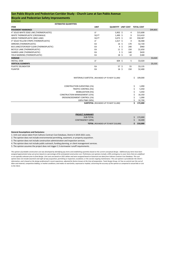## **Bicycle and Pedestrian Safety Improvements**

**TOTAL** *(ROUNDED UP TO NEXT \$10,000)* **\$ 210,000**

#### **General Assumptions and Exclusions:**

1. Unit cost values taken from Caltrans Contract Cost Database, District 4 2019‐2021 costs.

2. The opinion does not include environmental permitting, easement, or property acquisition.

|                                              | <b>ESTIMATED QUANTITIES</b>                     |             |                               |                       |         |          |          |
|----------------------------------------------|-------------------------------------------------|-------------|-------------------------------|-----------------------|---------|----------|----------|
| <b>ITEM</b>                                  |                                                 | <b>UNIT</b> | QUANTITY UNIT COST TOTAL COST |                       |         |          |          |
| <b>PAVEMENT MARKINGS</b>                     |                                                 |             |                               |                       |         |          | \$99,803 |
| 4" SOLID WHITE EDGE LINE (THERMOPLASTIC)     |                                                 | LF          | $3,902$ \$                    |                       | 4       | \$15,608 |          |
| WHITE THERMOPLASTIC (CROSSWALK)              |                                                 | SQ FT       | $1,490$ \$                    |                       | 9       | \$13,410 |          |
| <b>GREEN THERMOPLASTIC (BIKE LANE)</b>       |                                                 | SQ FT       | $3,073$ \$                    | 19                    |         | \$58,387 |          |
| 4" SOLID YELLOW STRIPE (THERMOPLASTIC)       |                                                 | LF          | $1,617$ \$                    |                       | 4       | \$6,468  |          |
| ARROWS (THERMOPLASTIC)                       |                                                 | EA          | 16 <sup>5</sup>               | 170                   |         | \$2,720  |          |
| BUS LANE/STOP/KEEP CLEAR (THERMOPLASTIC)     |                                                 | EA          |                               | $4 \;$ \$<br>240      |         | \$960    |          |
| BICYCLE LANE (THERMOPLASTIC)                 |                                                 | EA          | $11 \;$ \$                    | 150                   |         | \$1,650  |          |
| SHARED LANE (THERMOPLASTIC)                  |                                                 | EA          | $\mathbf{3}$                  | $\zeta$<br>140        |         | \$420    |          |
| YIELD MARKING (THERMOPLASTIC)                |                                                 | EA          | 18, 5                         | 10                    |         | \$180    |          |
| <b>SIGNAGE</b>                               |                                                 |             |                               |                       |         |          | \$3,020  |
| <b>INSTALL SIGN</b>                          |                                                 | LF          | $604$ \$                      |                       | 5       | \$3,020  |          |
| <b>VERTICAL ELEMENTS</b>                     |                                                 |             |                               |                       |         |          | \$5,535  |
| PLASTIC DELINEATOR                           |                                                 | EA          |                               | 57 <sup>5</sup><br>55 |         | \$3,135  |          |
| <b>PLANTER</b>                               |                                                 | EA          | $16 \; \text{S}$              | 150                   |         | \$2,400  |          |
|                                              | MATERIALS SUBTOTAL (ROUNDED UP TO NEXT \$1,000) |             |                               |                       | Ś.      | 109,000  |          |
|                                              | <b>CONSTRUCTION SURVEYING (1%)</b>              |             |                               |                       | \$      | 1,090    |          |
|                                              | TRAFFIC CONTROL (5%)                            |             |                               |                       | \$      | 5,450    |          |
|                                              | MOBILIZATION (5%)                               |             |                               |                       | \$      | 5,450    |          |
|                                              | <b>CONSTRUCTION MANAGEMENT (15%)</b>            |             |                               |                       | \$      | 16,350   |          |
|                                              | EROSION/SEDIMENT CONTROL (1%)                   |             |                               |                       | \$      | 1,090    |          |
|                                              | 100% PS&E (30%)                                 |             |                               |                       | \$      | 32,700   |          |
| <b>SUBTOTAL</b> (ROUNDED UP TO NEXT \$1,000) |                                                 |             |                               |                       | \$      | 172,000  |          |
|                                              |                                                 |             |                               |                       |         |          |          |
|                                              | <b>PROJECT SUMMARY</b>                          |             |                               |                       |         |          |          |
|                                              | SUB-TOTAL                                       |             |                               |                       | \$      | 172,000  |          |
|                                              | <b>CONTINGENCY (20%)</b>                        |             |                               |                       | $\zeta$ | 34,400   |          |

- 3. The opinion does not include construction administration and inspection services.
- 4. The opinion does not include public outreach, funding planning, or client management services.
- 5. The opinion assumes the project does not trigger C.3 stormwater runoff requirements.

*This opinion of probable construction cost was developed by identifying pay items and establishing quantities based on the current conceptual design. Additional pay items have been assigned approximate lump sum prices based on a percentage of the anticipated construction cost. Preliminary cost opinions include a 20% contingency to cover items that are undefined or are typically unknown prior to final design. Unit costs are based on 2021 dollars and were assigned based on historical cost data from Caltrans Contract Cost Database. This cost opinion does not include easement and right‐of‐way acquisition; permitting or inspection; escalation; or the cost for ongoing maintenance. This cost opinion is provided for the Client's information, and is based on the design professional's recent experience, adjusted for factors known at the time of preparation. Toole Design Group, LLC has no control over the cost of*  labor and material, competitive bidding, or market conditions; and makes no warranties, expressed or implied, concerning the accuracy of the opinion as compared to actual bids or cost *to the Client.*

## **San Pablo Bicycle and Pedestrian Corridor Study ‐ Church Lane at San Pablo Avenue**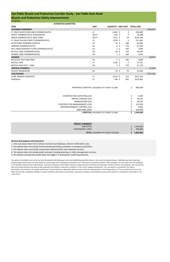|                                                 | 294,900 |
|-------------------------------------------------|---------|
| 100% PS&E (30%)                                 |         |
| EROSION/SEDIMENT CONTROL (1%)                   | 9,830   |
| <b>CONSTRUCTION MANAGEMENT (15%)</b>            | 147,450 |
| <b>MOBILIZATION (5%)</b>                        | 49,150  |
| <b>TRAFFIC CONTROL (5%)</b>                     | 49,150  |
| <b>CONSTRUCTION SURVEYING (1%)</b>              | 9,830   |
| MATERIALS SUBTOTAL (ROUNDED UP TO NEXT \$1,000) | 983,000 |

|           |        | <b>PROJECT SUMMARY</b>                     |
|-----------|--------|--------------------------------------------|
| 1,544,000 | $\sim$ | SUB-TOTAL                                  |
| 308,800   |        | CONTINGENCY (20%)                          |
| 1,860,000 |        | <b>TOTAL</b> (ROUNDED UP TO NEXT \$10,000) |

### **General Assumptions and Exclusions:**

# **Bicycle and Pedestrian Safety Improvements San Pablo Bicycle and Pedestrian Corridor Study ‐ San Pablo Dam Road**

|                                          | <b>ESTIMATED QUANTITIES</b> |             |                           |                       |                   |           |
|------------------------------------------|-----------------------------|-------------|---------------------------|-----------------------|-------------------|-----------|
| <b>ITEM</b>                              |                             | <b>UNIT</b> | <b>QUANTITY UNIT COST</b> |                       | <b>TOTAL COST</b> |           |
| <b>PAVEMENT MARKINGS</b>                 |                             |             |                           |                       |                   | \$196,871 |
| 4" SOLID WHITE EDGE LINE (THERMOPLASTIC) |                             | LF          | $6,620$ \$                |                       | \$26,480<br>4     |           |
| WHITE THERMOPLASTIC (CROSSWALK)          |                             | SQ FT       | 452 \$                    | 9                     | \$4,068           |           |
| <b>GREEN THERMOPLASTIC (BIKE LANE)</b>   |                             | SQ FT       | $7,621$ \$                | 19                    | \$144,799         |           |
| 4" SOLID YELLOW STRIPE (THERMOPLASTIC)   |                             | LF          | $2,976$ \$                | 4                     | \$11,904          |           |
| DETECTABLE WARNING SURFACE               |                             | EA          | $10\frac{1}{2}$           | 368                   | \$3,680           |           |
| ARROWS (THERMOPLASTIC)                   |                             | EA          |                           | $8\frac{2}{3}$<br>170 | \$1,360           |           |
| BUS LANE/STOP/KEEP CLEAR (THERMOPLASTIC) |                             | EA          |                           | $1\,$ \$<br>240       | \$240             |           |
| BICYCLE LANE (THERMOPLASTIC)             |                             | EA          | 28, 5                     | 150                   | \$4,200           |           |
| SHARED LANE (THERMOPLASTIC)              |                             | EA          |                           | $1\;$ \$<br>140       | \$140             |           |
| <b>SIGNAGE</b>                           |                             |             |                           |                       |                   | \$9,047   |
| RELOCATE POST AND SIGN                   |                             | EA          |                           | $1\,$ \$<br>200       | \$200             |           |
| <b>INSTALL SIGN</b>                      |                             | LF          | $1,545$ \$                | 5                     | \$7,725           |           |
| <b>INSTALL SIGN POST + SIGN</b>          |                             | EA          |                           | 3\$<br>374            | \$1,122           |           |
| <b>VERTICAL ELEMENTS</b>                 |                             |             |                           |                       |                   | \$1,265   |
| PLASTIC DELINEATOR                       |                             | EA          | $23 \; \xi$               | 55                    | \$1,265           |           |
| <b>CIVIL/PAVING</b>                      |                             |             |                           |                       |                   | \$775,181 |
| CURB (MINOR CONCRETE)                    |                             | LF          | 4,519 \$                  | 122                   | \$551,318         |           |
| SIDEWALK                                 |                             | <b>CY</b>   | 248 \$                    | 902                   | \$223,863         |           |

- 1. Unit cost values taken from Caltrans Contract Cost Database, District 4 2019‐2021 costs.
- 2. The opinion does not include environmental permitting, easement, or property acquisition.
- 3. The opinion does not include construction administration and inspection services.
- 4. The opinion does not include public outreach, funding planning, or client management services.
- 5. The opinion assumes the project does not trigger C.3 stormwater runoff requirements.

*This opinion of probable construction cost was developed by identifying pay items and establishing quantities based on the current conceptual design. Additional pay items have been assigned approximate lump sum prices based on a percentage of the anticipated construction cost. Preliminary cost opinions include a 20% contingency to cover items that are undefined or are typically unknown prior to final design. Unit costs are based on 2021 dollars and were assigned based on historical cost data from Caltrans Contract Cost Database. This cost opinion does not include easement and right‐of‐way acquisition; permitting or inspection; escalation; or the cost for ongoing maintenance. This cost opinion is provided for the Client's information, and is based on the design professional's recent experience, adjusted for factors known at the time of preparation. Toole Design Group, LLC has no control over the cost of labor and material, competitive bidding, or market conditions; and makes no warranties, expressed or implied, concerning the accuracy of the opinion as compared to actual bids or cost to the Client.*